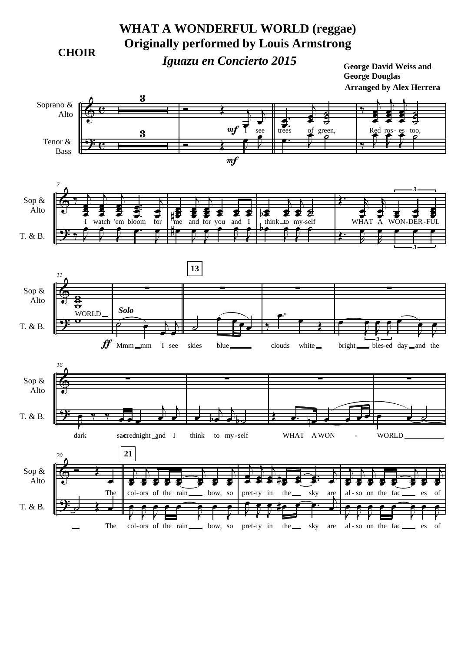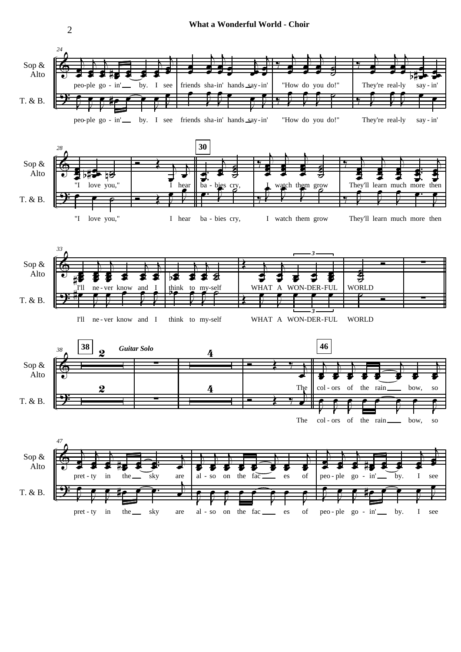